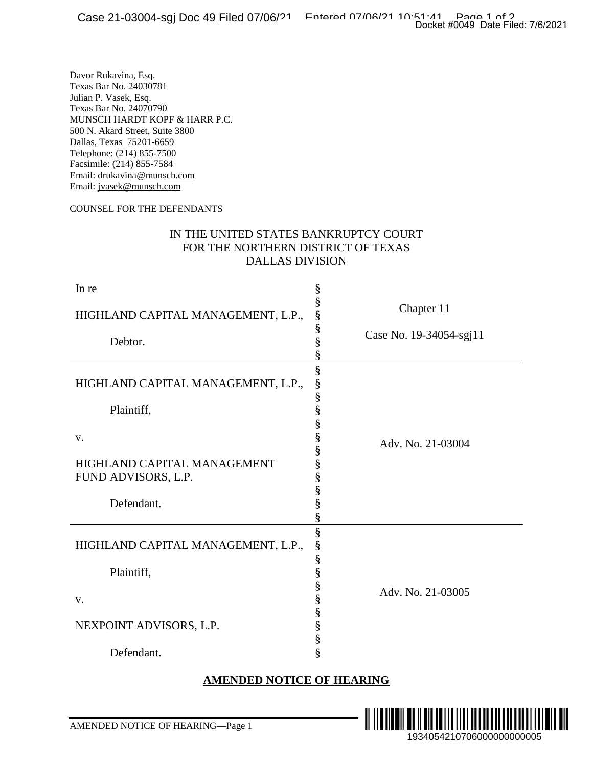#### COUNSEL FOR THE DEFENDANTS

### IN THE UNITED STATES BANKRUPTCY COURT FOR THE NORTHERN DISTRICT OF TEXAS DALLAS DIVISION

| <u>ರಜಲಲ == ರಲಲಲ , ಲಳ್ಳ</u>                                                                                                                                                                                                                                                                                                                                                                                                                                    | Docket #0049 Date Filed: 7/6/2021               |     |
|---------------------------------------------------------------------------------------------------------------------------------------------------------------------------------------------------------------------------------------------------------------------------------------------------------------------------------------------------------------------------------------------------------------------------------------------------------------|-------------------------------------------------|-----|
| Davor Rukavina, Esq.<br>Texas Bar No. 24030781<br>Julian P. Vasek, Esq.<br>Texas Bar No. 24070790<br>MUNSCH HARDT KOPF & HARR P.C.<br>500 N. Akard Street, Suite 3800<br>Dallas, Texas 75201-6659<br>Telephone: (214) 855-7500<br>Facsimile: (214) 855-7584<br>Email: drukavina@munsch.com<br>Email: jvasek@munsch.com<br>COUNSEL FOR THE DEFENDANTS<br>IN THE UNITED STATES BANKRUPTCY COURT<br>FOR THE NORTHERN DISTRICT OF TEXAS<br><b>DALLAS DIVISION</b> |                                                 |     |
| In re<br>§                                                                                                                                                                                                                                                                                                                                                                                                                                                    |                                                 |     |
| §<br>HIGHLAND CAPITAL MANAGEMENT, L.P.,                                                                                                                                                                                                                                                                                                                                                                                                                       | Chapter 11                                      |     |
| §<br>§<br>Debtor.<br>§                                                                                                                                                                                                                                                                                                                                                                                                                                        | Case No. 19-34054-sgj11                         |     |
| §<br>HIGHLAND CAPITAL MANAGEMENT, L.P.,<br>§<br>§<br>Plaintiff,<br>§<br>§<br>v.<br>HIGHLAND CAPITAL MANAGEMENT<br>§<br>FUND ADVISORS, L.P.<br>§<br>Defendant.<br>§                                                                                                                                                                                                                                                                                            | Adv. No. 21-03004                               |     |
| §<br>§<br>HIGHLAND CAPITAL MANAGEMENT, L.P.,<br>§<br>§<br>Plaintiff,<br>§<br>V.<br>§<br>§<br>NEXPOINT ADVISORS, L.P.<br>§<br>§<br>Defendant.                                                                                                                                                                                                                                                                                                                  | Adv. No. 21-03005                               |     |
| <b>AMENDED NOTICE OF HEARING</b>                                                                                                                                                                                                                                                                                                                                                                                                                              |                                                 |     |
|                                                                                                                                                                                                                                                                                                                                                                                                                                                               |                                                 |     |
| AMENDED NOTICE OF HEARING-Page 1                                                                                                                                                                                                                                                                                                                                                                                                                              | <u> A HENRIN I</u><br>1934054210706000000000005 | ║║║ |

#### **AMENDED NOTICE OF HEARING**